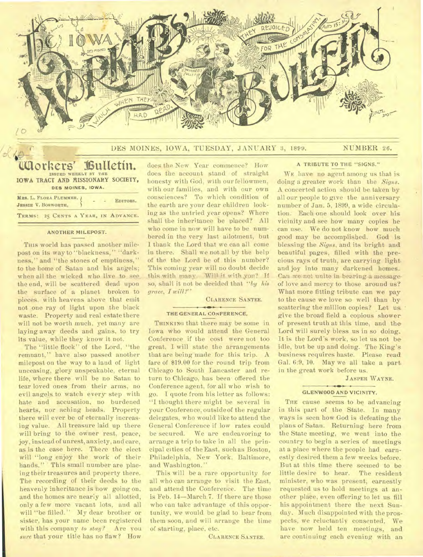

DES MOINES, IOWA, TUESDAY, JANUARY 3, 1899. NUMBER 26.

## **Workers' Vutietin. ISSUED WEEKLY BY THE IOWA TRACT AND AISSIONARY SOCIETY, DES MOINES. IOWA.**

| MRS. L. FLORA PLUMMER. /<br><b>JESSIE V. BOSWORTH,</b> |  |  | EDITORS.                            |
|--------------------------------------------------------|--|--|-------------------------------------|
|                                                        |  |  | TERMS: 25 CENTS A YEAR, IN ADVANCE. |

### ANOTHER MILEPOST.

This world has passed another milepost on its way to "blackness," "darkness," and "the stones of emptiness," to the home of Satan and his angels; when all the wicked who live to seethe end, will be scattered dead upon the surface of a planet broken to pieces, with heavens above that emit not one ray of light upon the black waste. Property and real estate there will not be worth much, yet many are laying away deeds and gains, to try its value, while they know it not.

The "little flock" of the Lord, "the remnant," have also passed another milepost on the way to a land of light unceasing, glory unspeakable. eternal life, where there will be no Satan to tear loved ones from their arms, no evil angels to watch every step with hate and accusation, no burdened hearts, nor aching heads. Property there will ever be of eternally increasing value. All treasure laid up there will bring to the owner rest, peace, joy, instead of unrest, anxiety, and care, as is the case here. There the elect will "long enjoy the work of their hands." This small number are placing their treasures and property there. The recording of their deeds to the heavenly inheritance is now going on, and the homes are nearly all allotted, only a few more vacant lots, and all will "be filled." My dear brother or sister, has your name been registered with this company *to stay?* Are you *sure* that your title has no flaw? How

does the New. Year commence? How does the account stand of straight honesty with God, with our fellowmen, with our families, and with our own consciences? To which condition of the earth are your dear children looking as the untried year opens? Where shall the inheritance be placed? All who come in now will have to be numbered in the very last allotment, but I thank the Lord that we can all come in there. Shall we not all by the help of the the Lord be of this number? This coming year will no doubt decide this with many. Will it with you? If so, shall it not be decided that "by his *grace, I will ?"* 

#### CLARENCE SANTEE.

#### **THE GENERAL CONFERENCE,**

THINKING that there may be some in Iowa who would attend the General Conference if the cost were not too great, I will state the arrangements that are being made for this trip. A fare of \$19.00 for the round trip from Chicago to South Lancaster and return to Chicago. has been offered the Conference agent, for all who wish to go. I quote from his letter as follows: "I thought there might be several in your Conference, outside of the regular delegates, who would like to attend the General Conference if low rates could be secured. We are endeavoring to arrange a trip to take in all the principal cities of the East, such as Boston, Philadelphia, New York. Baltimore, and Washington."

This will be a rare opportunity for all who can arrange to visit the East, and attend the Conference. The time is Feb. 14—March 7. If there are those who can take advantage of this opportunity, we would be glad to hear from them soon, and will arrange the time of starting, place, etc.

CLARENCE SANTEE.

#### **A TRIBUTE TO THE "SIGNS."**

WE have no agent among us that is doing a greater work than the *Signs.*  A concerted action should be taken by all our people to give the anniversary number of Jan. 5, 1899, a wide circulation. Each one should look over his vicinity and see how many copies he can use. We do not know how much good may be accomplished. God is blessing the *Signs,* and its bright and beautiful pages, filled with the precious rays of truth, are carrying light, and joy into many darkened homes.. Can we not unite in bearing a message of love and mercy to those around us? What more fitting tribute can we pay to the cause we love so well than by scattering the million copies? Let us. give the broad field a copious shower of present truth at this time, and the Lord will surely bless us in so doing. It is the Lord's work, so let us not be idle, but be up and doing. The King's business requires haste. Please read Gal. 6:9, 10. May we all take a part in the great work before us.

JASPER WAYNE.

### **GLENWOOD AND VICINITY.**

THE cause seems to be advancing in this part of the State. In many ways is seen how God is defeating the plans of Satan. Returning here from the State meeting, we went into the country to begin a series of meetings at a place where the people had earnestly desired them a few weeks before. But at this time there seemed to be little desire to hear. The resident minister, who was present, earnestly requested us to hold meetings at another place, even offering to let us fill his appointment there the next Sunday. Much disappointed with the prospects, we reluctantly consented, We have now held ten meetings, and are continuing each evening with an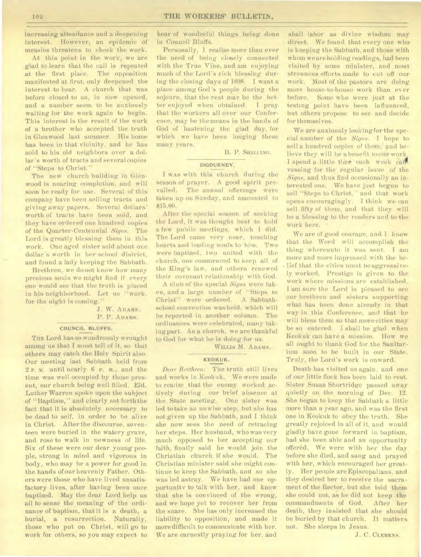increasing attendance and a deepening interest. However, an epidemic of measles threatens to check the work.

At this point in the work, we are glad to learn that the call is repeated at the first place. The opposition manifested at first, only deepened the interest to hear. A church that was before closed to us, is now opened, and a number seem to be anxiously waiting for the work again to begin. This interest is the result of the work of a brother who accepted the truth in Glenwood last summer. His home has been in that vicinity, and he has sold to his old neighbors over a dollar's worth of tracts and several copies of "Steps to Christ."

The new church building in Glenwood is nearing completion, and will soon be ready for use. Several of this company have been selling tracts and giving away papers. Several dollars' worth of tracts have been sold, and they have ordered one hundred copies of the Quarter-Centennial *Signs.* The Lord is greatly blessing them in this work. One aged sister sold about one dollar's worth in her school district, and found a lady keeping the Sabbath.

Brethren, we do not know how many precious souls we might find if every one would see that the truth is placed in his neighborhood. Let us "work, for the night is coming.

# J. W. ADAMS. P. P. ADAMS.

#### COUNCIL BLUFFS.

THE Lord has so wondrously wrought among us that I must tell of it, so that others may catch the Holy Spirit also. Our meeting last Sabbath held from 2 r. M. until nearly 6 P. M., and the time was well occupied by those present, our church being well filled. Eld. Luther Warren spoke upon the subject of "Baptism," and clearly set forththe fact that it is absolutely necessary to be dead to self, in order to be alive in Christ. After the discourse, seventeen were buried in the watery grave, and rose to walk in newness of life. Six of these were our dear young people, strong in mind and vigorous in body, who may be a power for good in the hands of our heavenly Father. Others were those who have lived unsatisfactory lives, after having been once baptized. May the dear Lord help us all to sense the meaning of the ordinance of baptism, that it is a death, a burial, a resurrection. Naturally, those who put on Christ, will go to work for others, so you may expect to

hear of wonderful things being done in Council Bluffs.

Personally. 1 realize more than ever the need of being closely connected with the True Vine, and am enjoying much of the Lord's rich blessing during the closing days of 1898. I want a place among God's people during the sojourn, that the rest may be the better enjoyed when obtained. I pray that the workers all over our Conference, may be the means in the hands of God of hastening the glad day, for which we have been longing these many years.

B. P. SHILLING.

#### SIGOURNEY.

I WAS with this church during the season of prayer. A good spirit prevailed. The annual offerings were taken up on Sunday, and amounted to \$15.00.

After the special season of seeking the Lord, it was thought best to hold a few public meetings, which I did. The Lord came very near, touching hearts and leading souls to him. Two were baptized, two united with the church, one commenced to keep all of the King's law, and others renewed their covenant relationship with God.

A club of the special *Signs* were taken, and a large number of "Steps to Christ" were ordered. A Sabbathschool convention was held, which will be reported in another column. The ordinances were celebrated, many taking part. As a church, we are thankful to God for what he is doing for us.

WILLIs M. ADAMS.

# KEOKUK.

*Dear Brethren:* The truth still lives and works in Keokuk. We were made to realize that the enemy worked actively during our brief absence at the State meeting. One sister was led to take an unwise step, but she has not given up the Sabbath, and I think she now sees the need of retracing her steps. Her husband, who was very much opposed to her accepting our faith, finally said *he* would join the Christian church if she would. The Christian minister said she might continue to keep the Sabbath. and so she was led astray. We have had one opportunity to talk with her, and know that she is convinced of the wrong, and we hope yet to recover her from the snare. She has only increased the liability to opposition, and made it more difficult to communicate with her. We are earnestly praying for her, and

shall labor as divine wisdom may direct. We found that every one who is keeping the Sabbath, and those with whom we are holding readings, had been visited by some minister, and most strenuous efforts made to cut off our work. Most of the pastors are doing more house-to-house work than ever before. Some who were just at the testing point have been influenced, but others propose to see and decide for themselves.

We are anxiously looking for the special number of the *Signs.* I hope to sell a hundred copies of them, and believe they will be a benefit toour work. I spend a little time each week callvassing for the regular issue of the *Signs,* and thus find occasionally an interested one. We have just begun to sell "Steps to Christ," and that work opens encouragingly. I think we can sell fifty of them, and that they will be a blessing to the readers and to the work here.

We are of good courage, and I know that the Word will accomplish the thing whereunto it was sent. I am more and more impressed with the belief that the cities must be aggressively worked. Prestige is given to the work where missions are established. I am sure the Lord is pleased to see our brethren and sisters supporting what has been done already in that way in this Conference, and that he will bless them so that more cities may be so entered. I shall be glad when Keokuk can have a mission. How we all ought to thank God for the Sanitarium soon to be built in our State. Truly, the Lord's work is onward.

Death has visited us again, and one of our little flock has been laid to rest. Sister Susan Shortridge passed away quietly on the morning of Dee. 12. She began to keep the Sabbath a little more than a year ago, and was the first one in Keokuk to obey the truth. She greatly rejoiced in all of it, and would gladly have gone forward in baptism, had she been able and an opportunity offered. We were with her the day before she died, and sang and prayed with her, which encouraged her greatly. Her people are Episcopalians, and they desired her to receive the sacrament of the Rector, but she told them she could not, as he did not keep the commandments of God. After her death, they insisted that she should be buried by that church. It matters not. She sleeps in Jesus.

J. C. CLEMENS.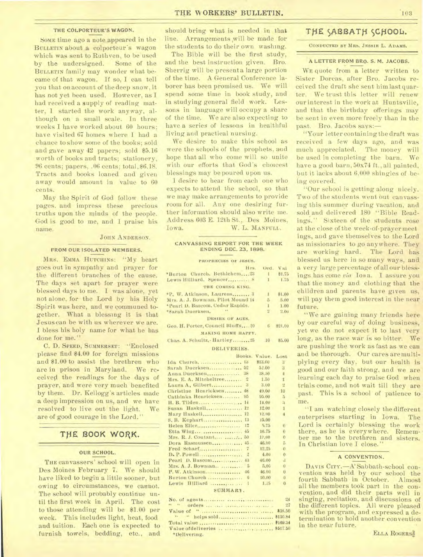#### THE COLPORTEUR'S WAGON.

SOME time ago a note appeared in the BULLETIN about a colporteur's wagon which was sent to Ruth ven, to be used by the undersigned. Some of the BULLETIN family may wonder what became of that wagon. If so, I can tell you that on account of the deep snow, it has not yet been used. However, as I had received a supply of reading matter, 1 started the work anyway, although on a small scale. In three weeks I have worked about 60 hours; have visited 67 homes where I had a chance to show some of the books; sold and gave away 42 papers; sold \$5.16 worth of books and tracts; stationery,  $96$  cents; papers,  $.06$  cents; total,  $$6.18$ . Tracts and books loaned and given away would amount in value to 60 cents.

May the Spirit of God follow these pages, and impress these precious truths upon the minds of the people. God is good to me, and I praise his name.

# JOHN ANDERSON.

### FROM OUR ISOLATED MEMBERS.

MRS. EMMA HUTCHINS: "My heart goes out in sympathy and prayer for the different branches of the cause. The days set apart for prayer were blessed days to me. I was alone, yet not alone, for the Lord by his Holy Spirit was here, and we communed together. What a blessing it is that Jesus can be with us wherever we are. I bless his holy name for what he has done for me."

C. D. SPEED, SUMMERSET: "Enclosed please find \$4.00 for foreign missions and \$1.00 to assist the brethren who are in prison in Maryland. We received the readings for the days of prayer, and were very much benefited by them. Dr. Kellogg's articles made a deep impression on us, and we have resolved to live out the light. We are of good courage in the Lord."

# THE BOOK WORK.

#### OUR SCHOOL.

THE canvassers' school will open in Des Moines February 7. We should have liked to begin a little sooner, but owing to circumstances, we cannot. The school will probably continue until the first week in April. The cost to those attending will be \$1.00 per week. This includes light, heat, food and tuition. Each one is expected to furnish towels, bedding, etc., and

should bring what is needed in that line. Arrangements will be made for the students to do their own washing.

The Bible will be the first study, and the best instruction given. Bro. Sherrig will be present a large portion of the time. A General Conference laborer has been promised us. We will spend some time in book study, and in studying general field work. Lessons in language will occupy a share of the time. We are also expecting to have a series of lessons in healthful living and practical nursing.

We desire to make this school as were the schools of the prophets, and hope that all who come will so unite with our efforts that God's choicest blessings may be poured upon us.

I desire to hear from each one who expects to attend the school, so that we may make arrangements to provide room for all. Any one desiring further information should also write me. Address 603 E. 12th St., Des Moines, Iowa. W. L. MANFULL.

#### CANVASSING REPORT FOR THE WEEK ENDING DEC. 23, 1898.

#### **PROPHECIES OF JESUS.**

| Hrs.                              | Ord.         | V <sub>H</sub> |
|-----------------------------------|--------------|----------------|
| *Burton Church, Bethlehem23       |              | 1 81.75        |
| Lewis Hilliard, Spencer S         | $\mathbf{I}$ | 1.75           |
| THE COMING KING.                  |              |                |
| *P. W. Atkinson, Laurens 3        | $\mathbf{1}$ | \$1.00         |
| Mrs. A. J. Bowman, Pilot Mound 14 |              | 5.00           |
| *Pearl D. Bascom, Cedar Rapids.   |              | 1.00           |
| *Sarah Duerksen.                  |              | 2.00           |
| <b>DESIRE OF AGES.</b>            |              |                |
| Geo. H. Porter, Council Bluffs20  | 6            | \$21.00        |
| MAKING HOME HAPPY.                |              |                |
| Chas. A. Schultz, Hartley 25      | 10           | \$5.00         |
| DELIVERIES.                       |              |                |

|                                            | Books.         | Value, Lost |                  |
|--------------------------------------------|----------------|-------------|------------------|
| Ida Church.  13                            |                | \$13.00     | 3                |
| Sarah Duerksen 52                          |                | 52.00       | 3                |
| Anna Duerksen 38                           |                | 38.50       | $\frac{1}{2}$    |
| Mrs. E. A. Mitcheltree                     | $\overline{2}$ | 1.50        | 1                |
| Laura A, Gilbert 3                         |                | 3.00        | 한                |
| Christine Henricksen 48                    |                | 49.00       | 10               |
| Cathinka Henricksen 95                     |                | 95.00       | 5                |
|                                            |                | 14.00       | $\mathbf{a}$     |
| Susan Haskell 12                           |                | 12.00       | 1                |
|                                            |                | 12,00       | $\overline{4}$   |
| S. B. Kephart 13                           |                | 15,00       |                  |
|                                            |                | 5.75        | $\overline{0}$   |
| Etta Wing                                  | 45             | 16.75       | $\overline{0}$   |
| Mrs. R. J. Coutant  50                     |                | 19.00       | $\theta$         |
| Dora Rasmussen 45                          |                | 46.00       | 5                |
| Fred Scharf                                | $\overline{7}$ | 12.25       | $\theta$         |
| D. P. Powell                               | $\overline{2}$ | 4.00        | $\theta$         |
| Pearl D. Bascom 43                         |                | 46.00       | $\boldsymbol{A}$ |
|                                            |                | 5.00        | $\cdot$ 0        |
|                                            |                | 46.00       | $\overline{0}$   |
| Burton Church                              | - 6            | 10.00       | $\mathbf{0}$     |
| Lewis Hilliard                             | -1             | 1.75        | $\bf{0}$         |
| ALITAL A CLASS AND ALL AND A CLASS AND ALL |                |             |                  |

#### SUMMARY.

| 24           |  |
|--------------|--|
|              |  |
|              |  |
|              |  |
|              |  |
|              |  |
| *Delivering. |  |

# THE SABBATH SCHOOL.

**CONDUCTED BY MRS. JESSIE L. ADAMS.** 

#### A LETTER FROM BRO. S. M. JACOBS.

WE quote from a letter written to Sister Dorcas, after Bro. Jacobs received the draft she sent him last quarter. We trust this letter will renew our interest in the work at Huntsville, and that the birthday offerings may be sent in even more freely than in the past. Bro. Jacobs says:-

"Your letter containing the draft was received a few days ago, and was much appreciated. The money will be used in completing the barn. We have a good barn, 50x74 ft., all painted, but it lacks about 6,000 shingles of being covered.

"Our school is getting along nicely. Two of the students went out canvassing this summer during vacation, and sold and delivered 180 "Bible Readings." Sixteen of the students rose at the close of the week-of-prayer meet ings, and gave themselves to the Lord as missionaries to go anywhere. They are working hard. The Lord has blessed us here in so many ways, and a very large percentage of all our blessings has come *via* Iona. I assure you that the money and clothing that the children and parents have given us, will pay them good interest in the near future.

"We are gaining many friends here by our careful way of doing business, yet we do not expect it to last very long, as the race war is so bitter. We are pushing the work as fast as we can and be thorough. Our cares are multiplying every day, but our health is good and our faith strong, and we are learning each day to praise God when trials come, and not wait till they are past. This is a school of patience to me.

"I am watching closely the different enterprises starting in Iowa. The Lord is certainly blessing the work there, as he is everywhere. Remember me to the brethren and sisters. In Christian love I close.

#### A CONVENTION.

DAVIS CITY.-A Sabbath-school convention was held by our school the fourth Sabbath in October. all the members took part in the convention, and did their parts well in singing, recitation, and discussions of the different topics. All were pleased with the program, and expressed a determination to hold another convention in the near future.